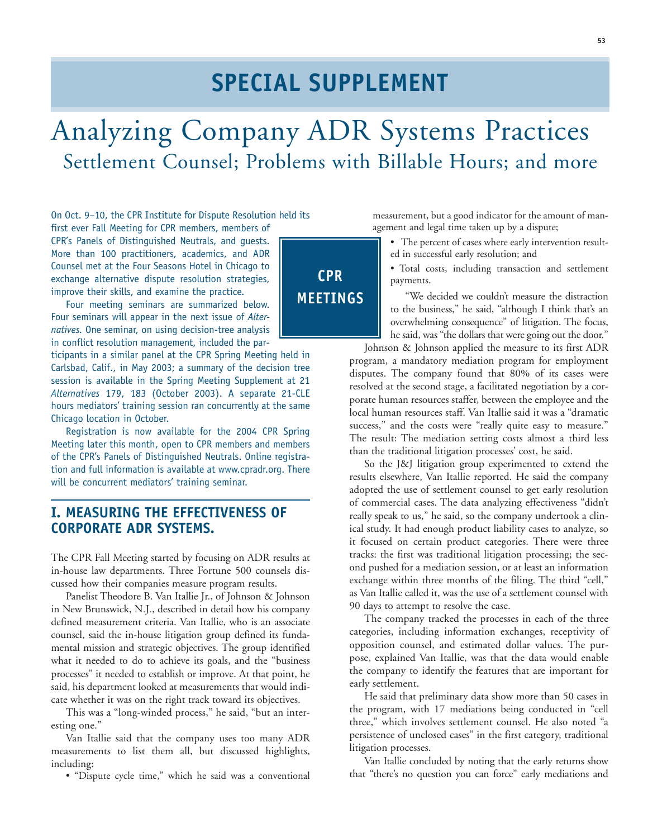# **SPECIAL SUPPLEMENT**

# Analyzing Company ADR Systems Practices Settlement Counsel; Problems with Billable Hours; and more

On Oct. 9–10, the CPR Institute for Dispute Resolution held its

first ever Fall Meeting for CPR members, members of CPR's Panels of Distinguished Neutrals, and guests. More than 100 practitioners, academics, and ADR Counsel met at the Four Seasons Hotel in Chicago to exchange alternative dispute resolution strategies, improve their skills, and examine the practice.

Four meeting seminars are summarized below. Four seminars will appear in the next issue of *Alternatives.* One seminar, on using decision-tree analysis in conflict resolution management, included the par-

ticipants in a similar panel at the CPR Spring Meeting held in Carlsbad, Calif., in May 2003; a summary of the decision tree session is available in the Spring Meeting Supplement at 21 *Alternatives* 179, 183 (October 2003). A separate 21-CLE hours mediators' training session ran concurrently at the same Chicago location in October.

Registration is now available for the 2004 CPR Spring Meeting later this month, open to CPR members and members of the CPR's Panels of Distinguished Neutrals. Online registration and full information is available at www.cpradr.org. There will be concurrent mediators' training seminar.

### **I. MEASURING THE EFFECTIVENESS OF CORPORATE ADR SYSTEMS.**

The CPR Fall Meeting started by focusing on ADR results at in-house law departments. Three Fortune 500 counsels discussed how their companies measure program results.

Panelist Theodore B. Van Itallie Jr., of Johnson & Johnson in New Brunswick, N.J., described in detail how his company defined measurement criteria. Van Itallie, who is an associate counsel, said the in-house litigation group defined its fundamental mission and strategic objectives. The group identified what it needed to do to achieve its goals, and the "business processes" it needed to establish or improve. At that point, he said, his department looked at measurements that would indicate whether it was on the right track toward its objectives.

This was a "long-winded process," he said, "but an interesting one."

Van Itallie said that the company uses too many ADR measurements to list them all, but discussed highlights, including:

• "Dispute cycle time," which he said was a conventional

measurement, but a good indicator for the amount of management and legal time taken up by a dispute;

• The percent of cases where early intervention resulted in successful early resolution; and

• Total costs, including transaction and settlement payments.

"We decided we couldn't measure the distraction to the business," he said, "although I think that's an overwhelming consequence" of litigation. The focus, he said, was "the dollars that were going out the door."

Johnson & Johnson applied the measure to its first ADR program, a mandatory mediation program for employment disputes. The company found that 80% of its cases were resolved at the second stage, a facilitated negotiation by a corporate human resources staffer, between the employee and the local human resources staff. Van Itallie said it was a "dramatic success," and the costs were "really quite easy to measure." The result: The mediation setting costs almost a third less than the traditional litigation processes' cost, he said.

So the J&J litigation group experimented to extend the results elsewhere, Van Itallie reported. He said the company adopted the use of settlement counsel to get early resolution of commercial cases. The data analyzing effectiveness "didn't really speak to us," he said, so the company undertook a clinical study. It had enough product liability cases to analyze, so it focused on certain product categories. There were three tracks: the first was traditional litigation processing; the second pushed for a mediation session, or at least an information exchange within three months of the filing. The third "cell," as Van Itallie called it, was the use of a settlement counsel with 90 days to attempt to resolve the case.

The company tracked the processes in each of the three categories, including information exchanges, receptivity of opposition counsel, and estimated dollar values. The purpose, explained Van Itallie, was that the data would enable the company to identify the features that are important for early settlement.

He said that preliminary data show more than 50 cases in the program, with 17 mediations being conducted in "cell three," which involves settlement counsel. He also noted "a persistence of unclosed cases" in the first category, traditional litigation processes.

Van Itallie concluded by noting that the early returns show that "there's no question you can force" early mediations and

**CPR MEETINGS**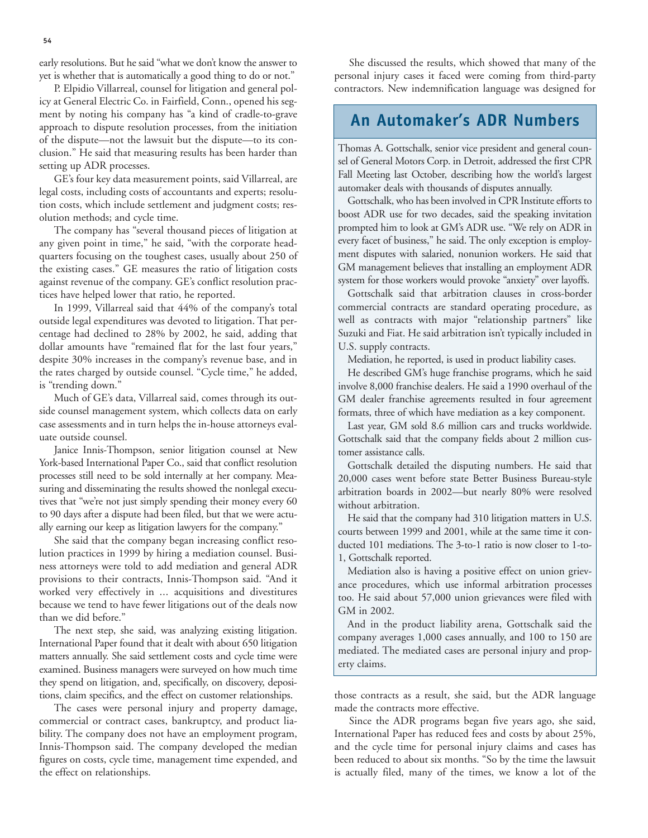P. Elpidio Villarreal, counsel for litigation and general policy at General Electric Co. in Fairfield, Conn., opened his segment by noting his company has "a kind of cradle-to-grave approach to dispute resolution processes, from the initiation of the dispute—not the lawsuit but the dispute—to its conclusion." He said that measuring results has been harder than setting up ADR processes.

GE's four key data measurement points, said Villarreal, are legal costs, including costs of accountants and experts; resolution costs, which include settlement and judgment costs; resolution methods; and cycle time.

The company has "several thousand pieces of litigation at any given point in time," he said, "with the corporate headquarters focusing on the toughest cases, usually about 250 of the existing cases." GE measures the ratio of litigation costs against revenue of the company. GE's conflict resolution practices have helped lower that ratio, he reported.

In 1999, Villarreal said that 44% of the company's total outside legal expenditures was devoted to litigation. That percentage had declined to 28% by 2002, he said, adding that dollar amounts have "remained flat for the last four years," despite 30% increases in the company's revenue base, and in the rates charged by outside counsel. "Cycle time," he added, is "trending down."

Much of GE's data, Villarreal said, comes through its outside counsel management system, which collects data on early case assessments and in turn helps the in-house attorneys evaluate outside counsel.

Janice Innis-Thompson, senior litigation counsel at New York-based International Paper Co., said that conflict resolution processes still need to be sold internally at her company. Measuring and disseminating the results showed the nonlegal executives that "we're not just simply spending their money every 60 to 90 days after a dispute had been filed, but that we were actually earning our keep as litigation lawyers for the company."

She said that the company began increasing conflict resolution practices in 1999 by hiring a mediation counsel. Business attorneys were told to add mediation and general ADR provisions to their contracts, Innis-Thompson said. "And it worked very effectively in ... acquisitions and divestitures because we tend to have fewer litigations out of the deals now than we did before."

The next step, she said, was analyzing existing litigation. International Paper found that it dealt with about 650 litigation matters annually. She said settlement costs and cycle time were examined. Business managers were surveyed on how much time they spend on litigation, and, specifically, on discovery, depositions, claim specifics, and the effect on customer relationships.

The cases were personal injury and property damage, commercial or contract cases, bankruptcy, and product liability. The company does not have an employment program, Innis-Thompson said. The company developed the median figures on costs, cycle time, management time expended, and the effect on relationships.

She discussed the results, which showed that many of the personal injury cases it faced were coming from third-party contractors. New indemnification language was designed for

## **An Automaker's ADR Numbers**

Thomas A. Gottschalk, senior vice president and general counsel of General Motors Corp. in Detroit, addressed the first CPR Fall Meeting last October, describing how the world's largest automaker deals with thousands of disputes annually.

Gottschalk, who has been involved in CPR Institute efforts to boost ADR use for two decades, said the speaking invitation prompted him to look at GM's ADR use. "We rely on ADR in every facet of business," he said. The only exception is employment disputes with salaried, nonunion workers. He said that GM management believes that installing an employment ADR system for those workers would provoke "anxiety" over layoffs.

Gottschalk said that arbitration clauses in cross-border commercial contracts are standard operating procedure, as well as contracts with major "relationship partners" like Suzuki and Fiat. He said arbitration isn't typically included in U.S. supply contracts.

Mediation, he reported, is used in product liability cases.

He described GM's huge franchise programs, which he said involve 8,000 franchise dealers. He said a 1990 overhaul of the GM dealer franchise agreements resulted in four agreement formats, three of which have mediation as a key component.

Last year, GM sold 8.6 million cars and trucks worldwide. Gottschalk said that the company fields about 2 million customer assistance calls.

Gottschalk detailed the disputing numbers. He said that 20,000 cases went before state Better Business Bureau-style arbitration boards in 2002—but nearly 80% were resolved without arbitration.

He said that the company had 310 litigation matters in U.S. courts between 1999 and 2001, while at the same time it conducted 101 mediations. The 3-to-1 ratio is now closer to 1-to-1, Gottschalk reported.

Mediation also is having a positive effect on union grievance procedures, which use informal arbitration processes too. He said about 57,000 union grievances were filed with GM in 2002.

And in the product liability arena, Gottschalk said the company averages 1,000 cases annually, and 100 to 150 are mediated. The mediated cases are personal injury and property claims.

those contracts as a result, she said, but the ADR language made the contracts more effective.

Since the ADR programs began five years ago, she said, International Paper has reduced fees and costs by about 25%, and the cycle time for personal injury claims and cases has been reduced to about six months. "So by the time the lawsuit is actually filed, many of the times, we know a lot of the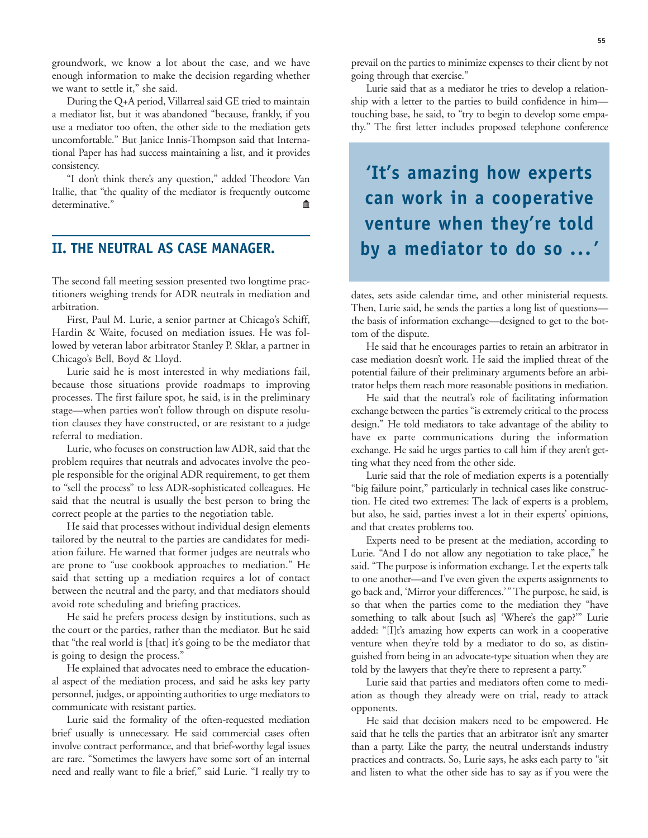groundwork, we know a lot about the case, and we have enough information to make the decision regarding whether we want to settle it," she said.

During the Q+A period, Villarreal said GE tried to maintain a mediator list, but it was abandoned "because, frankly, if you use a mediator too often, the other side to the mediation gets uncomfortable." But Janice Innis-Thompson said that International Paper has had success maintaining a list, and it provides consistency.

"I don't think there's any question," added Theodore Van Itallie, that "the quality of the mediator is frequently outcome determinative."

#### **II. THE NEUTRAL AS CASE MANAGER.**

The second fall meeting session presented two longtime practitioners weighing trends for ADR neutrals in mediation and arbitration.

First, Paul M. Lurie, a senior partner at Chicago's Schiff, Hardin & Waite, focused on mediation issues. He was followed by veteran labor arbitrator Stanley P. Sklar, a partner in Chicago's Bell, Boyd & Lloyd.

Lurie said he is most interested in why mediations fail, because those situations provide roadmaps to improving processes. The first failure spot, he said, is in the preliminary stage—when parties won't follow through on dispute resolution clauses they have constructed, or are resistant to a judge referral to mediation.

Lurie, who focuses on construction law ADR, said that the problem requires that neutrals and advocates involve the people responsible for the original ADR requirement, to get them to "sell the process" to less ADR-sophisticated colleagues. He said that the neutral is usually the best person to bring the correct people at the parties to the negotiation table.

He said that processes without individual design elements tailored by the neutral to the parties are candidates for mediation failure. He warned that former judges are neutrals who are prone to "use cookbook approaches to mediation." He said that setting up a mediation requires a lot of contact between the neutral and the party, and that mediators should avoid rote scheduling and briefing practices.

He said he prefers process design by institutions, such as the court or the parties, rather than the mediator. But he said that "the real world is [that] it's going to be the mediator that is going to design the process."

He explained that advocates need to embrace the educational aspect of the mediation process, and said he asks key party personnel, judges, or appointing authorities to urge mediators to communicate with resistant parties.

Lurie said the formality of the often-requested mediation brief usually is unnecessary. He said commercial cases often involve contract performance, and that brief-worthy legal issues are rare. "Sometimes the lawyers have some sort of an internal need and really want to file a brief," said Lurie. "I really try to

prevail on the parties to minimize expenses to their client by not going through that exercise."

Lurie said that as a mediator he tries to develop a relationship with a letter to the parties to build confidence in him touching base, he said, to "try to begin to develop some empathy." The first letter includes proposed telephone conference

**'It's amazing how experts can work in a cooperative venture when they're told by a mediator to do so ... '**

dates, sets aside calendar time, and other ministerial requests. Then, Lurie said, he sends the parties a long list of questions the basis of information exchange—designed to get to the bottom of the dispute.

He said that he encourages parties to retain an arbitrator in case mediation doesn't work. He said the implied threat of the potential failure of their preliminary arguments before an arbitrator helps them reach more reasonable positions in mediation.

He said that the neutral's role of facilitating information exchange between the parties "is extremely critical to the process design." He told mediators to take advantage of the ability to have ex parte communications during the information exchange. He said he urges parties to call him if they aren't getting what they need from the other side.

Lurie said that the role of mediation experts is a potentially "big failure point," particularly in technical cases like construction. He cited two extremes: The lack of experts is a problem, but also, he said, parties invest a lot in their experts' opinions, and that creates problems too.

Experts need to be present at the mediation, according to Lurie. "And I do not allow any negotiation to take place," he said. "The purpose is information exchange. Let the experts talk to one another—and I've even given the experts assignments to go back and, 'Mirror your differences.'" The purpose, he said, is so that when the parties come to the mediation they "have something to talk about [such as] 'Where's the gap?'" Lurie added: "[I]t's amazing how experts can work in a cooperative venture when they're told by a mediator to do so, as distinguished from being in an advocate-type situation when they are told by the lawyers that they're there to represent a party."

Lurie said that parties and mediators often come to mediation as though they already were on trial, ready to attack opponents.

He said that decision makers need to be empowered. He said that he tells the parties that an arbitrator isn't any smarter than a party. Like the party, the neutral understands industry practices and contracts. So, Lurie says, he asks each party to "sit and listen to what the other side has to say as if you were the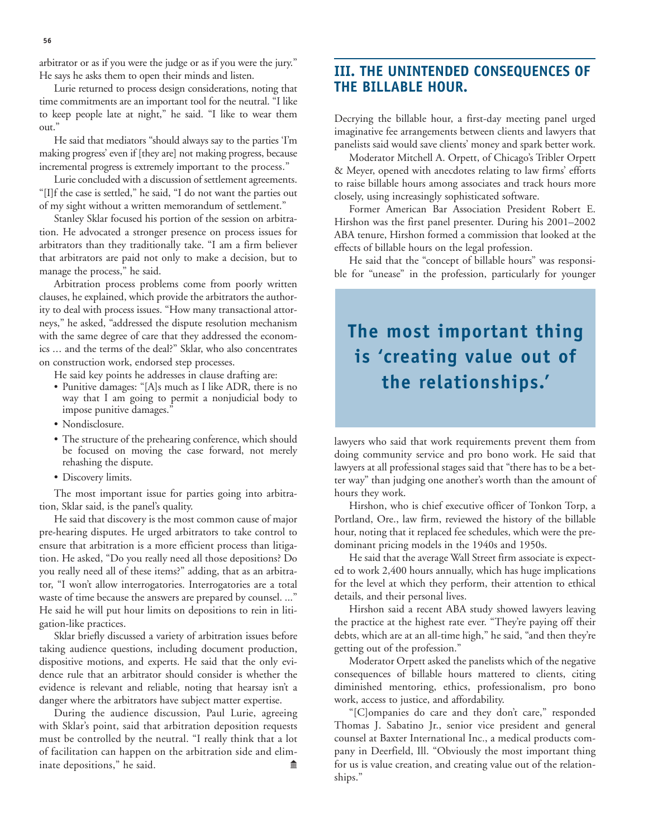arbitrator or as if you were the judge or as if you were the jury." He says he asks them to open their minds and listen.

Lurie returned to process design considerations, noting that time commitments are an important tool for the neutral. "I like to keep people late at night," he said. "I like to wear them out."

He said that mediators "should always say to the parties 'I'm making progress' even if [they are] not making progress, because incremental progress is extremely important to the process."

Lurie concluded with a discussion of settlement agreements. "[I]f the case is settled," he said, "I do not want the parties out of my sight without a written memorandum of settlement."

Stanley Sklar focused his portion of the session on arbitration. He advocated a stronger presence on process issues for arbitrators than they traditionally take. "I am a firm believer that arbitrators are paid not only to make a decision, but to manage the process," he said.

Arbitration process problems come from poorly written clauses, he explained, which provide the arbitrators the authority to deal with process issues. "How many transactional attorneys," he asked, "addressed the dispute resolution mechanism with the same degree of care that they addressed the economics ... and the terms of the deal?" Sklar, who also concentrates on construction work, endorsed step processes.

He said key points he addresses in clause drafting are:

- Punitive damages: "[A]s much as I like ADR, there is no way that I am going to permit a nonjudicial body to impose punitive damages.
- Nondisclosure.
- The structure of the prehearing conference, which should be focused on moving the case forward, not merely rehashing the dispute.
- Discovery limits.

The most important issue for parties going into arbitration, Sklar said, is the panel's quality.

He said that discovery is the most common cause of major pre-hearing disputes. He urged arbitrators to take control to ensure that arbitration is a more efficient process than litigation. He asked, "Do you really need all those depositions? Do you really need all of these items?" adding, that as an arbitrator, "I won't allow interrogatories. Interrogatories are a total waste of time because the answers are prepared by counsel. ..." He said he will put hour limits on depositions to rein in litigation-like practices.

Sklar briefly discussed a variety of arbitration issues before taking audience questions, including document production, dispositive motions, and experts. He said that the only evidence rule that an arbitrator should consider is whether the evidence is relevant and reliable, noting that hearsay isn't a danger where the arbitrators have subject matter expertise.

During the audience discussion, Paul Lurie, agreeing with Sklar's point, said that arbitration deposition requests must be controlled by the neutral. "I really think that a lot of facilitation can happen on the arbitration side and eliminate depositions," he said.

### **III. THE UNINTENDED CONSEQUENCES OF THE BILLABLE HOUR.**

Decrying the billable hour, a first-day meeting panel urged imaginative fee arrangements between clients and lawyers that panelists said would save clients' money and spark better work.

Moderator Mitchell A. Orpett, of Chicago's Tribler Orpett & Meyer, opened with anecdotes relating to law firms' efforts to raise billable hours among associates and track hours more closely, using increasingly sophisticated software.

Former American Bar Association President Robert E. Hirshon was the first panel presenter. During his 2001–2002 ABA tenure, Hirshon formed a commission that looked at the effects of billable hours on the legal profession.

He said that the "concept of billable hours" was responsible for "unease" in the profession, particularly for younger

# **The most important thing is 'creating value out of the relationships.'**

lawyers who said that work requirements prevent them from doing community service and pro bono work. He said that lawyers at all professional stages said that "there has to be a better way" than judging one another's worth than the amount of hours they work.

Hirshon, who is chief executive officer of Tonkon Torp, a Portland, Ore., law firm, reviewed the history of the billable hour, noting that it replaced fee schedules, which were the predominant pricing models in the 1940s and 1950s.

He said that the average Wall Street firm associate is expected to work 2,400 hours annually, which has huge implications for the level at which they perform, their attention to ethical details, and their personal lives.

Hirshon said a recent ABA study showed lawyers leaving the practice at the highest rate ever. "They're paying off their debts, which are at an all-time high," he said, "and then they're getting out of the profession."

Moderator Orpett asked the panelists which of the negative consequences of billable hours mattered to clients, citing diminished mentoring, ethics, professionalism, pro bono work, access to justice, and affordability.

"[C]ompanies do care and they don't care," responded Thomas J. Sabatino Jr., senior vice president and general counsel at Baxter International Inc., a medical products company in Deerfield, Ill. "Obviously the most important thing for us is value creation, and creating value out of the relationships."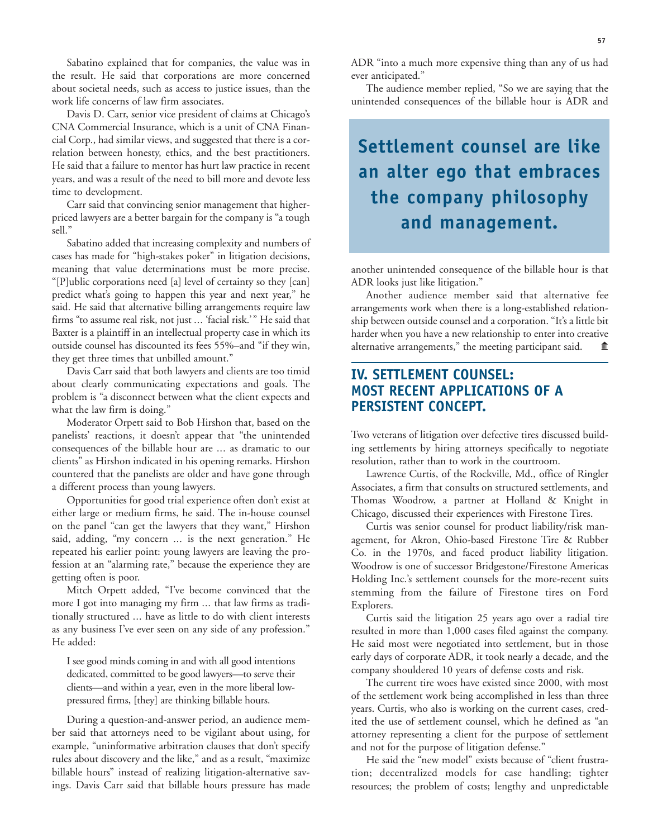Sabatino explained that for companies, the value was in the result. He said that corporations are more concerned about societal needs, such as access to justice issues, than the work life concerns of law firm associates.

Davis D. Carr, senior vice president of claims at Chicago's CNA Commercial Insurance, which is a unit of CNA Financial Corp., had similar views, and suggested that there is a correlation between honesty, ethics, and the best practitioners. He said that a failure to mentor has hurt law practice in recent years, and was a result of the need to bill more and devote less time to development.

Carr said that convincing senior management that higherpriced lawyers are a better bargain for the company is "a tough sell."

Sabatino added that increasing complexity and numbers of cases has made for "high-stakes poker" in litigation decisions, meaning that value determinations must be more precise. "[P]ublic corporations need [a] level of certainty so they [can] predict what's going to happen this year and next year," he said. He said that alternative billing arrangements require law firms "to assume real risk, not just ... 'facial risk.'" He said that Baxter is a plaintiff in an intellectual property case in which its outside counsel has discounted its fees 55%–and "if they win, they get three times that unbilled amount."

Davis Carr said that both lawyers and clients are too timid about clearly communicating expectations and goals. The problem is "a disconnect between what the client expects and what the law firm is doing."

Moderator Orpett said to Bob Hirshon that, based on the panelists' reactions, it doesn't appear that "the unintended consequences of the billable hour are ... as dramatic to our clients" as Hirshon indicated in his opening remarks. Hirshon countered that the panelists are older and have gone through a different process than young lawyers.

Opportunities for good trial experience often don't exist at either large or medium firms, he said. The in-house counsel on the panel "can get the lawyers that they want," Hirshon said, adding, "my concern ... is the next generation." He repeated his earlier point: young lawyers are leaving the profession at an "alarming rate," because the experience they are getting often is poor.

Mitch Orpett added, "I've become convinced that the more I got into managing my firm ... that law firms as traditionally structured ... have as little to do with client interests as any business I've ever seen on any side of any profession." He added:

I see good minds coming in and with all good intentions dedicated, committed to be good lawyers—to serve their clients—and within a year, even in the more liberal lowpressured firms, [they] are thinking billable hours.

During a question-and-answer period, an audience member said that attorneys need to be vigilant about using, for example, "uninformative arbitration clauses that don't specify rules about discovery and the like," and as a result, "maximize billable hours" instead of realizing litigation-alternative savings. Davis Carr said that billable hours pressure has made ADR "into a much more expensive thing than any of us had ever anticipated."

The audience member replied, "So we are saying that the unintended consequences of the billable hour is ADR and

# **Settlement counsel are like an alter ego that embraces the company philosophy and management.**

another unintended consequence of the billable hour is that ADR looks just like litigation."

Another audience member said that alternative fee arrangements work when there is a long-established relationship between outside counsel and a corporation. "It's a little bit harder when you have a new relationship to enter into creative alternative arrangements," the meeting participant said.  $\Box$ 

### **IV. SETTLEMENT COUNSEL: MOST RECENT APPLICATIONS OF A PERSISTENT CONCEPT.**

Two veterans of litigation over defective tires discussed building settlements by hiring attorneys specifically to negotiate resolution, rather than to work in the courtroom.

Lawrence Curtis, of the Rockville, Md., office of Ringler Associates, a firm that consults on structured settlements, and Thomas Woodrow, a partner at Holland & Knight in Chicago, discussed their experiences with Firestone Tires.

Curtis was senior counsel for product liability/risk management, for Akron, Ohio-based Firestone Tire & Rubber Co. in the 1970s, and faced product liability litigation. Woodrow is one of successor Bridgestone/Firestone Americas Holding Inc.'s settlement counsels for the more-recent suits stemming from the failure of Firestone tires on Ford Explorers.

Curtis said the litigation 25 years ago over a radial tire resulted in more than 1,000 cases filed against the company. He said most were negotiated into settlement, but in those early days of corporate ADR, it took nearly a decade, and the company shouldered 10 years of defense costs and risk.

The current tire woes have existed since 2000, with most of the settlement work being accomplished in less than three years. Curtis, who also is working on the current cases, credited the use of settlement counsel, which he defined as "an attorney representing a client for the purpose of settlement and not for the purpose of litigation defense."

He said the "new model" exists because of "client frustration; decentralized models for case handling; tighter resources; the problem of costs; lengthy and unpredictable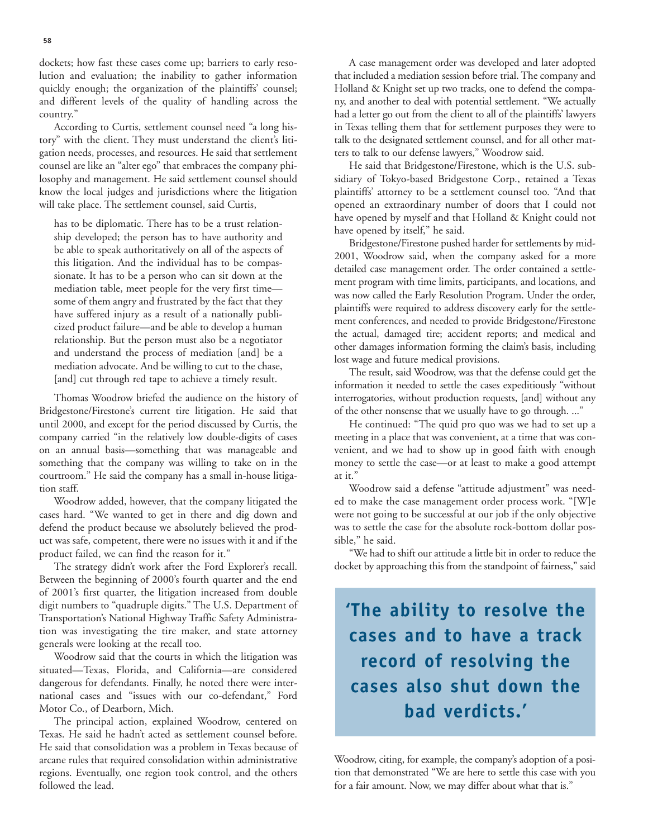dockets; how fast these cases come up; barriers to early resolution and evaluation; the inability to gather information quickly enough; the organization of the plaintiffs' counsel; and different levels of the quality of handling across the country."

According to Curtis, settlement counsel need "a long history" with the client. They must understand the client's litigation needs, processes, and resources. He said that settlement counsel are like an "alter ego" that embraces the company philosophy and management. He said settlement counsel should know the local judges and jurisdictions where the litigation will take place. The settlement counsel, said Curtis,

has to be diplomatic. There has to be a trust relationship developed; the person has to have authority and be able to speak authoritatively on all of the aspects of this litigation. And the individual has to be compassionate. It has to be a person who can sit down at the mediation table, meet people for the very first time some of them angry and frustrated by the fact that they have suffered injury as a result of a nationally publicized product failure—and be able to develop a human relationship. But the person must also be a negotiator and understand the process of mediation [and] be a mediation advocate. And be willing to cut to the chase, [and] cut through red tape to achieve a timely result.

Thomas Woodrow briefed the audience on the history of Bridgestone/Firestone's current tire litigation. He said that until 2000, and except for the period discussed by Curtis, the company carried "in the relatively low double-digits of cases on an annual basis—something that was manageable and something that the company was willing to take on in the courtroom." He said the company has a small in-house litigation staff.

Woodrow added, however, that the company litigated the cases hard. "We wanted to get in there and dig down and defend the product because we absolutely believed the product was safe, competent, there were no issues with it and if the product failed, we can find the reason for it."

The strategy didn't work after the Ford Explorer's recall. Between the beginning of 2000's fourth quarter and the end of 2001's first quarter, the litigation increased from double digit numbers to "quadruple digits." The U.S. Department of Transportation's National Highway Traffic Safety Administration was investigating the tire maker, and state attorney generals were looking at the recall too.

Woodrow said that the courts in which the litigation was situated—Texas, Florida, and California—are considered dangerous for defendants. Finally, he noted there were international cases and "issues with our co-defendant," Ford Motor Co., of Dearborn, Mich.

The principal action, explained Woodrow, centered on Texas. He said he hadn't acted as settlement counsel before. He said that consolidation was a problem in Texas because of arcane rules that required consolidation within administrative regions. Eventually, one region took control, and the others followed the lead.

A case management order was developed and later adopted that included a mediation session before trial. The company and Holland & Knight set up two tracks, one to defend the company, and another to deal with potential settlement. "We actually had a letter go out from the client to all of the plaintiffs' lawyers in Texas telling them that for settlement purposes they were to talk to the designated settlement counsel, and for all other matters to talk to our defense lawyers," Woodrow said.

He said that Bridgestone/Firestone, which is the U.S. subsidiary of Tokyo-based Bridgestone Corp., retained a Texas plaintiffs' attorney to be a settlement counsel too. "And that opened an extraordinary number of doors that I could not have opened by myself and that Holland & Knight could not have opened by itself," he said.

Bridgestone/Firestone pushed harder for settlements by mid-2001, Woodrow said, when the company asked for a more detailed case management order. The order contained a settlement program with time limits, participants, and locations, and was now called the Early Resolution Program. Under the order, plaintiffs were required to address discovery early for the settlement conferences, and needed to provide Bridgestone/Firestone the actual, damaged tire; accident reports; and medical and other damages information forming the claim's basis, including lost wage and future medical provisions.

The result, said Woodrow, was that the defense could get the information it needed to settle the cases expeditiously "without interrogatories, without production requests, [and] without any of the other nonsense that we usually have to go through. ..."

He continued: "The quid pro quo was we had to set up a meeting in a place that was convenient, at a time that was convenient, and we had to show up in good faith with enough money to settle the case—or at least to make a good attempt at it."

Woodrow said a defense "attitude adjustment" was needed to make the case management order process work. "[W]e were not going to be successful at our job if the only objective was to settle the case for the absolute rock-bottom dollar possible," he said.

"We had to shift our attitude a little bit in order to reduce the docket by approaching this from the standpoint of fairness," said

**'The ability to resolve the cases and to have a track record of resolving the cases also shut down the bad verdicts.'**

Woodrow, citing, for example, the company's adoption of a position that demonstrated "We are here to settle this case with you for a fair amount. Now, we may differ about what that is."